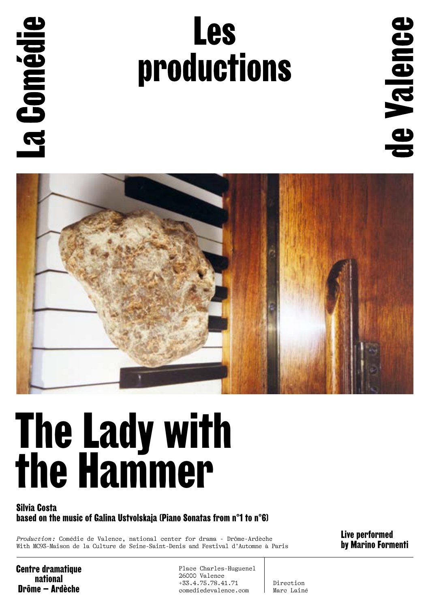# **La Comédie**

# **Les** productions



# **The Lady with the Hammer**

# **Silvia Costa based on the music of Galina Ustvolskaja (Piano Sonatas from n°1 to n°6)**

**by Marino Formenti** *Production:* Comédie de Valence, national center for drama - Drôme-Ardèche With MC93-Maison de la Culture de Seine-Saint-Denis and Festival d'Automne à Paris

**Live performed** 

**Centre dramatique national Drôme – Ardèche**

Place Charles-Huguenel 26000 Valence +33.4.75.78.41.71 comediedevalence.com

Direction Marc Lainé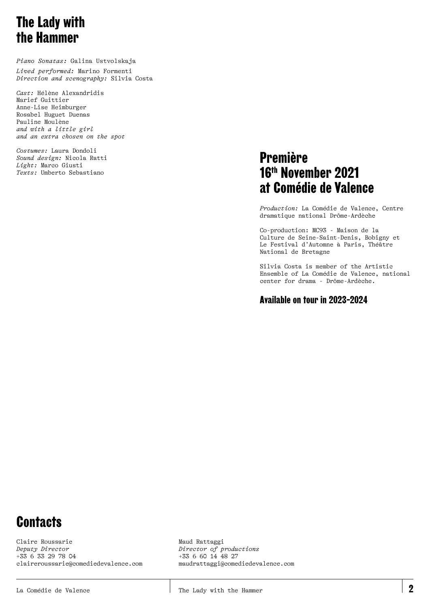# **The Lady with the Hammer**

*Piano Sonatas:* Galina Ustvolskaja

*Lived performed:* Marino Formenti *Direction and scenography:* Silvia Costa

*Cast:* Hélène Alexandridis Marief Guittier Anne-Lise Heimburger Rosabel Huguet Duenas Pauline Moulène *and with a little girl and an extra chosen on the spot*

*Costumes:* Laura Dondoli *Sound design:* Nicola Ratti *Light:* Marco Giusti *Texts:* Umberto Sebastiano

# **Première 16th November 2021 at Comédie de Valence**

*Production:* La Comédie de Valence, Centre dramatique national Drôme-Ardèche

Co-production: MC93 - Maison de la Culture de Seine-Saint-Denis, Bobigny et Le Festival d'Automne à Paris, Théâtre National de Bretagne

Silvia Costa is member of the Artistic Ensemble of La Comédie de Valence, national center for drama - Drôme-Ardèche.

**Available on tour in 2023-2024**

# **Contacts**

Claire Roussarie *Deputy Director* +33 6 33 29 78 04 claireroussarie@comediedevalence.com

Maud Rattaggi *Director of productions* +33 6 60 14 48 27 maudrattaggi@comediedevalence.com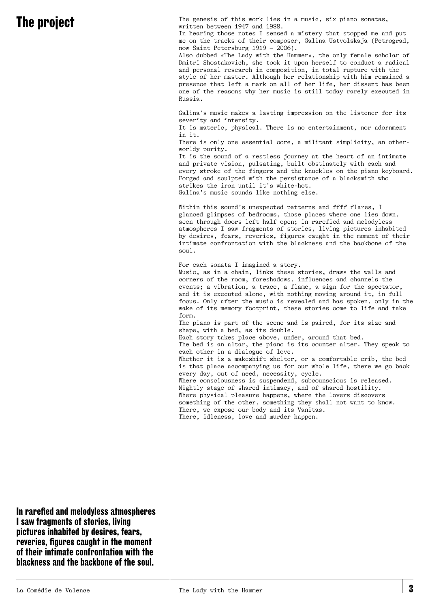# **The project**

The genesis of this work lies in a music, six piano sonatas, written between 1947 and 1988.

In hearing those notes I sensed a mistery that stopped me and put me on the tracks of their composer, Galina Ustvolskaja (Petrograd, now Saint Petersburg 1919 – 2006).

Also dubbed «The Lady with the Hammer», the only female scholar of Dmitri Shostakovich, she took it upon herself to conduct a radical and personal research in composition, in total rupture with the style of her master. Although her relationship with him remained a presence that left a mark on all of her life, her dissent has been one of the reasons why her music is still today rarely executed in Russia.

Galina's music makes a lasting impression on the listener for its severity and intensity.

It is materic, physical. There is no entertainment, nor adornment in it.

There is only one essential core, a militant simplicity, an otherworldy purity.

It is the sound of a restless journey at the heart of an intimate and private vision, pulsating, built obstinately with each and every stroke of the fingers and the knuckles on the piano keyboard. Forged and sculpted with the persistance of a blacksmith who strikes the iron until it's white-hot. Galina's music sounds like nothing else.

Within this sound's unexpected patterns and ffff flares, I glanced glimpses of bedrooms, those places where one lies down, seen through doors left half open; in rarefied and melodyless atmospheres I saw fragments of stories, living pictures inhabited by desires, fears, reveries, figures caught in the moment of their intimate confrontation with the blackness and the backbone of the soul.

For each sonata I imagined a story.

Music, as in a chain, links these stories, draws the walls and corners of the room, foreshadows, influences and channels the events; a vibration, a trace, a flame, a sign for the spectator, and it is executed alone, with nothing moving around it, in full focus. Only after the music is revealed and has spoken, only in the wake of its memory footprint, these stories come to life and take form. The piano is part of the scene and is paired, for its size and shape, with a bed, as its double. Each story takes place above, under, around that bed. The bed is an altar, the piano is its counter alter. They speak to each other in a dialogue of love. Whether it is a makeshift shelter, or a comfortable crib, the bed is that place accompanying us for our whole life, there we go back every day, out of need, necessity, cycle. Where consciousness is suspendend, subcounscious is released. Nightly stage of shared intimacy, and of shared hostility. Where physical pleasure happens, where the lovers discovers something of the other, something they shall not want to know. There, we expose our body and its Vanitas. There, idleness, love and murder happen.

**In rarefied and melodyless atmospheres I saw fragments of stories, living pictures inhabited by desires, fears, reveries, figures caught in the moment of their intimate confrontation with the blackness and the backbone of the soul.**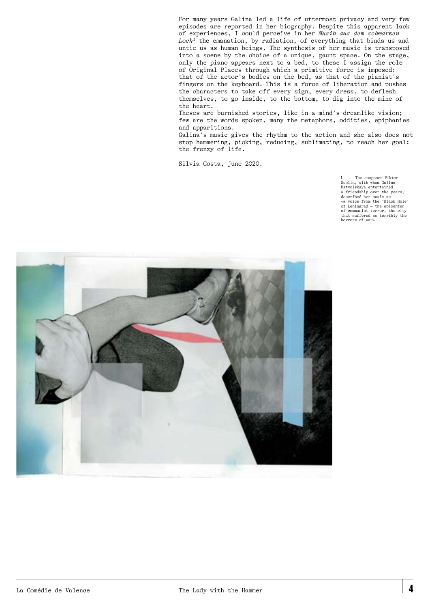For many years Galina led a life of uttermost privacy and very few episodes are reported in her biography. Despite this apparent lack of experiences, I could perceive in her *Musik aus dem schwarzen Loch*<sup>1</sup> the emanation, by radiation, of everything that binds us and untie us as human beings. The synthesis of her music is transposed into a scene by the choice of a unique, gaunt space. On the stage, only the piano appears next to a bed, to these I assign the role of Original Places through which a primitive force is imposed: that of the actor's bodies on the bed, as that of the pianist's fingers on the keyboard. This is a force of liberation and pushes the characters to take off every sign, every dress, to deflesh themselves, to go inside, to the bottom, to dig into the mine of the heart.

Theses are burnished stories, like in a mind's dreamlike vision; few are the words spoken, many the metaphors, oddities, epiphanies and apparitions.

Galina's music gives the rhythm to the action and she also does not stop hammering, picking, reducing, sublimating, to reach her goal: the frenzy of life.

Silvia Costa, june 2020.

**1** The composer Viktor Suslin, with whom Galina Ustvolskaya entertained a friendship over the years, described her music as «a voice from the 'Black Hole' of Leningrad – the epicenter of communist terror, the city that suffered so terribly the horrors of war».

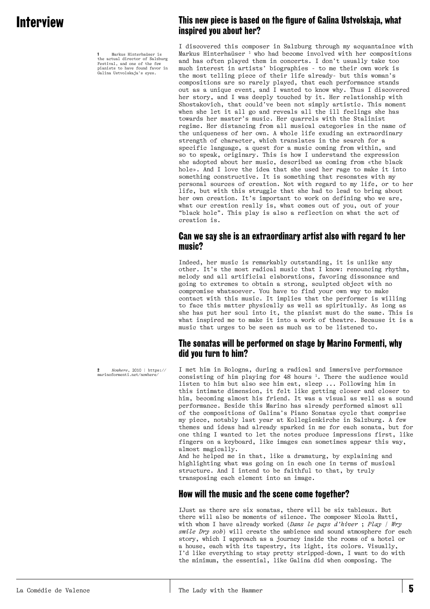# **Interview**

**1** Markus Hinterhaüser is the actual director of Salzburg Festival, and one of the few pianists to have found favor in Galina Ustvolskaja's eyes.

# **This new piece is based on the figure of Galina Ustvolskaja, what inspired you about her?**

I discovered this composer in Salzburg through my acquantaince with Markus Hinterhaüser  $^1$  who had become involved with her compositions and has often played them in concerts. I don't usually take too much interest in artists' biographies - to me their own work is the most telling piece of their life already- but this woman's compositions are so rarely played, that each performance stands out as a unique event, and I wanted to know why. Thus I discovered her story, and I was deeply touched by it. Her relationship with Shostakovich, that could've been not simply artistic. This moment when she let it all go and reveals all the ill feelings she has towards her master's music. Her quarrels with the Stalinist regime. Her distancing from all musical categories in the name of the uniqueness of her own. A whole life exuding an extraordinary strength of character, which translates in the search for a specific language, a quest for a music coming from within, and so to speak, originary. This is how I understand the expression she adopted about her music, described as coming from «the black hole». And I love the idea that she used her rage to make it into something constructive. It is something that resonates with my personal sources of creation. Not with regard to my life, or to her life, but with this struggle that she had to lead to bring about her own creation. It's important to work on defining who we are, what our creation really is, what comes out of you, out of your "black hole". This play is also a reflection on what the act of creation is.

# **Can we say she is an extraordinary artist also with regard to her music?**

Indeed, her music is remarkably outstanding, it is unlike any other. It's the most radical music that I know: renouncing rhythm, melody and all artificial elaborations, favoring dissonance and going to extremes to obtain a strong, sculpted object with no compromise whatsoever. You have to find your own way to make contact with this music. It implies that the performer is willing to face this matter physically as well as spiritually. As long as she has put her soul into it, the pianist must do the same. This is what inspired me to make it into a work of theatre. Because it is a music that urges to be seen as much as to be listened to.

# **The sonatas will be performed on stage by Marino Formenti, why did you turn to him?**

**2** *Nowhere*, 2010 | https:// marinoformenti.net/nowhere/

I met him in Bologna, during a radical and immersive performance consisting of him playing for 48 hours  $\frac{1}{1}$ . There the audience would listen to him but also see him eat, sleep ... Following him in this intimate dimension, it felt like getting closer and closer to him, becoming almost his friend. It was a visual as well as a sound performance. Beside this Marino has already performed almost all of the compositions of Galina's Piano Sonatas cycle that comprise my piece, notably last year at Kollegienkirche in Salzburg. A few themes and ideas had already sparked in me for each sonata, but for one thing I wanted to let the notes produce impressions first, like fingers on a keyboard, like images can sometimes appear this way, almost magically.

And he helped me in that, like a dramaturg, by explaining and highlighting what was going on in each one in terms of musical structure. And I intend to be faithful to that, by truly transposing each element into an image.

# **How will the music and the scene come together?**

IJust as there are six sonatas, there will be six tableaux. But there will also be moments of silence. The composer Nicola Ratti, with whom I have already worked (*Dans le pays d'hiver* ; *Play | Wry smile Dry sob*) will create the ambience and sound atmosphere for each story, which I approach as a journey inside the rooms of a hotel or a house, each with its tapestry, its light, its colors. Visually, I'd like everything to stay pretty stripped-down, I want to do with the minimum, the essential, like Galina did when composing. The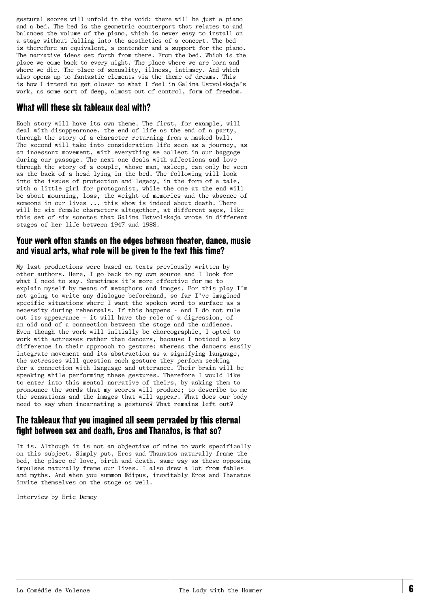gestural scores will unfold in the void: there will be just a piano and a bed. The bed is the geometric counterpart that relates to and balances the volume of the piano, which is never easy to install on a stage without falling into the aesthetics of a concert. The bed is therefore an equivalent, a contender and a support for the piano. The narrative ideas set forth from there. From the bed. Which is the place we come back to every night. The place where we are born and where we die. The place of sexuality, illness, intimacy. And which also opens up to fantastic elements via the theme of dreams. This is how I intend to get closer to what I feel in Galina Ustvolskaja's work, as some sort of deep, almost out of control, form of freedom.

# **What will these six tableaux deal with?**

Each story will have its own theme. The first, for example, will deal with disappearance, the end of life as the end of a party, through the story of a character returning from a masked ball. The second will take into consideration life seen as a journey, as an incessant movement, with everything we collect in our baggage during our passage. The next one deals with affections and love through the story of a couple, whose man, asleep, can only be seen as the back of a head lying in the bed. The following will look into the issues of protection and legacy, in the form of a tale, with a little girl for protagonist, while the one at the end will be about mourning, loss, the weight of memories and the absence of someone in our lives ... this show is indeed about death. There will be six female characters altogether, at different ages, like this set of six sonatas that Galina Ustvolskaja wrote in different stages of her life between 1947 and 1988.

# **Your work often stands on the edges between theater, dance, music and visual arts, what role will be given to the text this time?**

My last productions were based on texts previously written by other authors. Here, I go back to my own source and I look for what I need to say. Sometimes it's more effective for me to explain myself by means of metaphors and images. For this play I'm not going to write any dialogue beforehand, so far I've imagined specific situations where I want the spoken word to surface as a necessity during rehearsals. If this happens - and I do not rule out its appearance - it will have the role of a digression, of an aid and of a connection between the stage and the audience. Even though the work will initially be choreographic, I opted to work with actresses rather than dancers, because I noticed a key difference in their approach to gesture: whereas the dancers easily integrate movement and its abstraction as a signifying language, the actresses will question each gesture they perform seeking for a connection with language and utterance. Their brain will be speaking while performing these gestures. Therefore I would like to enter into this mental narrative of theirs, by asking them to pronounce the words that my scores will produce; to describe to me the sensations and the images that will appear. What does our body need to say when incarnating a gesture? What remains left out?

# **The tableaux that you imagined all seem pervaded by this eternal fight between sex and death, Eros and Thanatos, is that so?**

It is. Although it is not an objective of mine to work specifically on this subject. Simply put, Eros and Thanatos naturally frame the bed, the place of love, birth and death. same way as these opposing impulses naturally frame our lives. I also draw a lot from fables and myths. And when you summon Œdipus, inevitably Eros and Thanatos invite themselves on the stage as well.

Interview by Eric Demey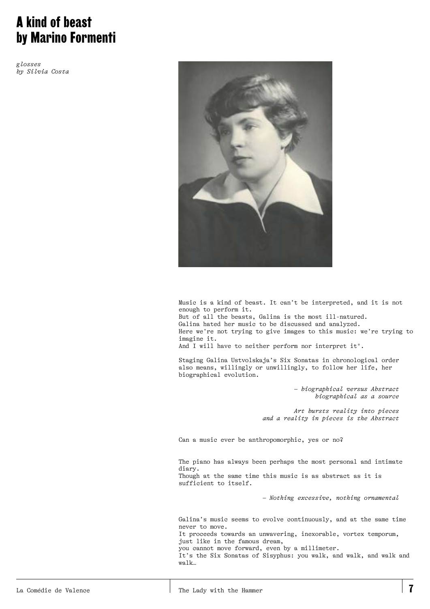# **A kind of beast by Marino Formenti**

*glosses by Silvia Costa*



Music is a kind of beast. It can't be interpreted, and it is not enough to perform it.

But of all the beasts, Galina is the most ill-natured.

Galina hated her music to be discussed and analyzed.

Here we're not trying to give images to this music: we're trying to imagine it.

And I will have to neither perform nor interpret it\*.

Staging Galina Ustvolskaja's Six Sonatas in chronological order also means, willingly or unwillingly, to follow her life, her biographical evolution.

> *– biographical versus Abstract biographical as a source*

*Art bursts reality into pieces and a reality in pieces is the Abstract*

Can a music ever be anthropomorphic, yes or no?

The piano has always been perhaps the most personal and intimate diary. Though at the same time this music is as abstract as it is

sufficient to itself.

*– Nothing excessive, nothing ornamental*

Galina's music seems to evolve continuously, and at the same time never to move. It proceeds towards an unwavering, inexorable, vortex temporum, just like in the famous dream, you cannot move forward, even by a millimeter. It's the Six Sonatas of Sisyphus: you walk, and walk, and walk and walk…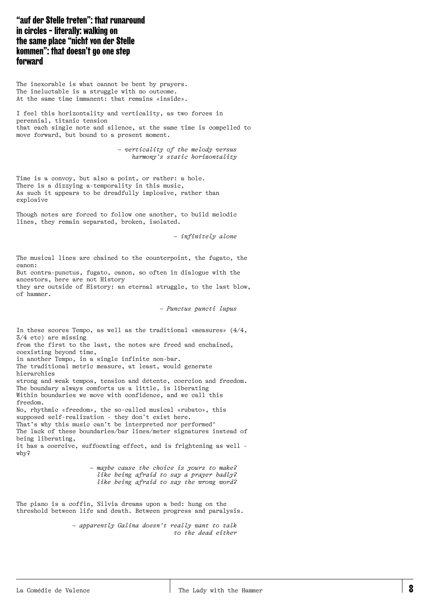# **"auf der Stelle treten": that runaround in circles - literally: walking on the same place "nicht von der Stelle kommen": that doesn't go one step forward**

The inexorable is what cannot be bent by prayers. The ineluctable is a struggle with no outcome. At the same time immanent: that remains «inside».

I feel this horizontality and verticality, as two forces in perennial, titanic tension that each single note and silence, at the same time is compelled to move forward, but bound to a present moment.

> *– verticality of the melody versus harmony's static horizontality*

Time is a convoy, but also a point, or rather: a hole. There is a dizzying a-temporality in this music, As such it appears to be dreadfully implosive, rather than explosive

Though notes are forced to follow one another, to build melodic lines, they remain separated, broken, isolated.

*– infinitely alone* 

The musical lines are chained to the counterpoint, the fugato, the canon: But contra-punctus, fugato, canon, so often in dialogue with the ancestors, here are not History they are outside of History: an eternal struggle, to the last blow, of hammer.

*– Punctus puncti lupus*

In these scores Tempo, as well as the traditional «measures» (4/4, 3/4 etc) are missing from the first to the last, the notes are freed and enchained, coexisting beyond time, in another Tempo, in a single infinite non-bar. The traditional metric measure, at least, would generate hierarchies strong and weak tempos, tension and détente, coercion and freedom. The boundary always comforts us a little, is liberating Within boundaries we move with confidence, and we call this freedom. No, rhythmic «freedom», the so-called musical «rubato», this supposed self-realization - they don't exist here. That's why this music can't be interpreted nor performed<sup>\*</sup> The lack of these boundaries/bar lines/meter signatures instead of being liberating, it has a coercive, suffocating effect, and is frightening as well why?

*– maybe cause the choice is yours to make? like being afraid to say a prayer badly? like being afraid to say the wrong word?*

The piano is a coffin, Silvia dreams upon a bed: hung on the threshold between life and death. Between progress and paralysis.

> *– apparently Galina doesn't really want to talk to the dead either*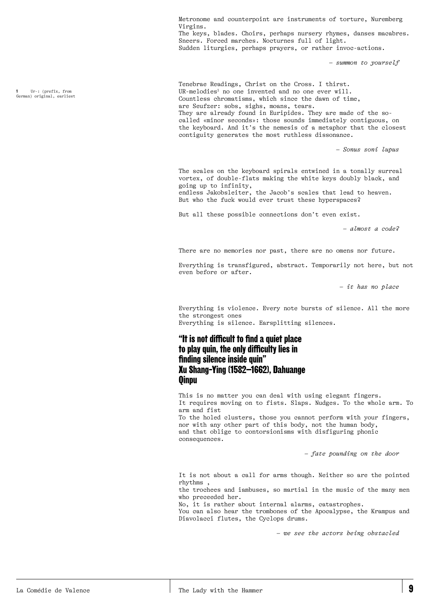Metronome and counterpoint are instruments of torture, Nuremberg Virgins. The keys, blades. Choirs, perhaps nursery rhymes, danses macabres. Sneers. Forced marches. Nocturnes full of light.

Sudden liturgies, perhaps prayers, or rather invoc-actions.

*– summon to yourself*

Tenebrae Readings, Christ on the Cross. I thirst.  $UR$ -melodies<sup>1</sup> no one invented and no one ever will. Countless chromatisms, which since the dawn of time, are Seufzer: sobs, sighs, moans, tears. They are already found in Euripides. They are made of the socalled «minor seconds»: those sounds immediately contiguous, on the keyboard. And it's the nemesis of a metaphor that the closest contiguity generates the most ruthless dissonance.

*– Sonus soni lupus*

The scales on the keyboard spirals entwined in a tonally surreal vortex, of double-flats making the white keys doubly black, and going up to infinity,

endless Jakobsleiter, the Jacob's scales that lead to heaven. But who the fuck would ever trust these hyperspaces?

But all these possible connections don't even exist.

*– almost a code?*

There are no memories nor past, there are no omens nor future.

Everything is transfigured, abstract. Temporarily not here, but not even before or after.

*– it has no place*

Everything is violence. Every note bursts of silence. All the more the strongest ones Everything is silence. Earsplitting silences.

### **"It is not difficult to find a quiet place to play quin, the only difficulty lies in finding silence inside quin" Xu Shang-Ying (1582–1662), Dahuange Qinpu**

This is no matter you can deal with using elegant fingers. It requires moving on to fists. Slaps. Nudges. To the whole arm. To arm and fist To the holed clusters, those you cannot perform with your fingers, nor with any other part of this body, not the human body, and that oblige to contorsionisms with disfiguring phonic consequences.

*– fate pounding on the door*

It is not about a call for arms though. Neither so are the pointed rhythms ,

the trochees and iambuses, so martial in the music of the many men who preceeded her.

No, it is rather about internal alarms, catastrophes.

You can also hear the trombones of the Apocalypse, the Krampus and Diavolacci flutes, the Cyclops drums.

*– we see the actors being obstacled*

Ur-: (prefix, from German) original, earliest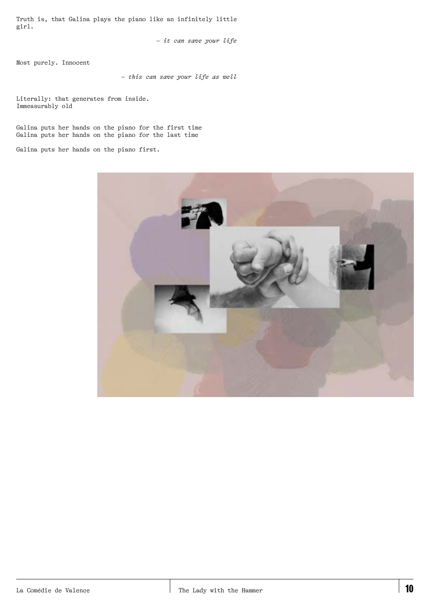Truth is, that Galina plays the piano like an infinitely little girl.

*– it can save your life*

Most purely. Innocent

*– this can save your life as well*

Literally: that generates from inside. Immeasurably old

Galina puts her hands on the piano for the first time Galina puts her hands on the piano for the last time

Galina puts her hands on the piano first.

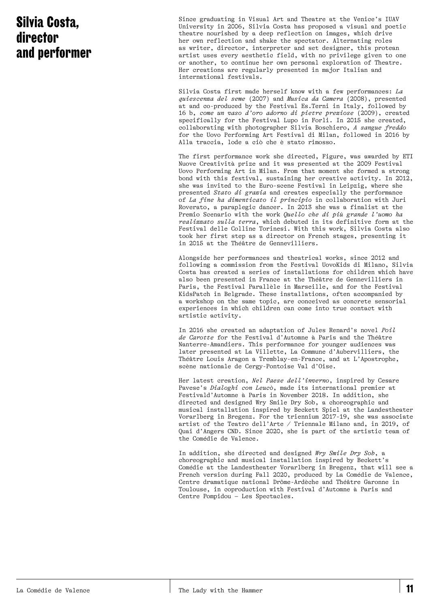# **Silvia Costa, director and performer**

Since graduating in Visual Art and Theatre at the Venice's IUAV University in 2006, Silvia Costa has proposed a visual and poetic theatre nourished by a deep reflection on images, which drive her own reflection and shake the spectator. Alternating roles as writer, director, interpreter and set designer, this protean artist uses every aesthetic field, with no privilege given to one or another, to continue her own personal exploration of Theatre. Her creations are regularly presented in major Italian and international festivals.

Silvia Costa first made herself know with a few performances: *La quiescenza del seme* (2007) and *Musica da Camera* (2008), presented at and co-produced by the Festival Es.Terni in Italy, followed by 16 b, *come un vaso d'oro adorno di pietre preziose* (2009), created specifically for the Festival Lupo in Forli. In 2015 she created, collaborating with photographer Silvia Boschiero, *A sangue freddo* for the Uovo Performing Art Festival di Milan, followed in 2016 by Alla traccia, lode a ciò che è stato rimosso.

The first performance work she directed, Figure, was awarded by ETI Nuove Creatività prize and it was presented at the 2009 Festival Uovo Performing Art in Milan. From that moment she formed a strong bond with this festival, sustaining her creative activity. In 2012, she was invited to the Euro-scene Festival in Leipzig, where she presented *Stato di grazia* and creates especially the performance of *La fine ha dimenticato il principio* in collaboration with Juri Roverato, a paraplegic dancer. In 2013 she was a finalist at the Premio Scenario with the work *Quello che di più grande l'uomo ha realizzato sulla terra*, which debuted in its definitive form at the Festival delle Colline Torinesi. With this work, Silvia Costa also took her first step as a director on French stages, presenting it in 2015 at the Théâtre de Gennevilliers.

Alongside her performances and theatrical works, since 2012 and following a commission from the Festival UovoKids di Milano, Silvia Costa has created a series of installations for children which have also been presented in France at the Théâtre de Gennevilliers in Paris, the Festival Parallèle in Marseille, and for the Festival KidsPatch in Belgrade. These installations, often accompanied by a workshop on the same topic, are conceived as concrete sensorial experiences in which children can come into true contact with artistic activity.

In 2016 she created an adaptation of Jules Renard's novel *Poil de Carotte* for the Festival d'Automne à Paris and the Théâtre Nanterre-Amandiers. This performance for younger audiences was later presented at La Villette, La Commune d'Aubervilliers, the Théâtre Louis Aragon a Tremblay-en-France, and at L'Apostrophe, scène nationale de Cergy-Pontoise Val d'Oise.

Her latest creation, *Nel Paese dell'inverno*, inspired by Cesare Pavese's *Dialoghi con Leucò*, made its international premier at Festivald'Automne à Paris in November 2018. In addition, she directed and designed Wry Smile Dry Sob, a choreographic and musical installation inspired by Beckett Spiel at the Landestheater Vorarlberg in Bregenz. For the triennium 2017-19, she was associate artist of the Teatro dell'Arte / Triennale Milano and, in 2019, of Quai d'Angers CND. Since 2020, she is part of the artistic team of the Comédie de Valence.

In addition, she directed and designed *Wry Smile Dry Sob*, a choreographic and musical installation inspired by Beckett's Comédie at the Landestheater Vorarlberg in Bregenz, that will see a French version during Fall 2020, produced by La Comédie de Valence, Centre dramatique national Drôme-Ardèche and Théâtre Garonne in Toulouse, in coproduction with Festival d'Automne à Paris and Centre Pompidou – Les Spectacles.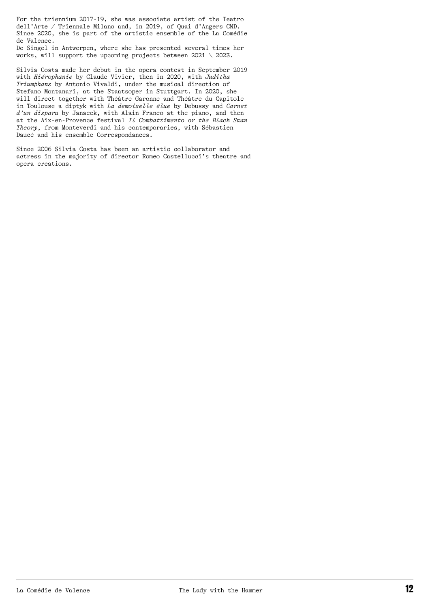For the triennium 2017-19, she was associate artist of the Teatro dell'Arte / Triennale Milano and, in 2019, of Quai d'Angers CND. Since 2020, she is part of the artistic ensemble of the La Comédie de Valence.

De Singel in Antwerpen, where she has presented several times her works, will support the upcoming projects between 2021 \ 2023.

Silvia Costa made her debut in the opera contest in September 2019 with *Hiérophanie* by Claude Vivier, then in 2020, with *Juditha Triumphans* by Antonio Vivaldi, under the musical direction of Stefano Montanari, at the Staatsoper in Stuttgart. In 2020, she will direct together with Théâtre Garonne and Théâtre du Capitole in Toulouse a diptyk with *La demoiselle élue* by Debussy and *Carnet d'un disparu* by Janacek, with Alain Franco at the piano, and then at the Aix-en-Provence festival *Il Combattimento or the Black Swan Theory*, from Monteverdi and his contemporaries, with Sébastien Daucé and his ensemble Correspondances.

Since 2006 Silvia Costa has been an artistic collaborator and actress in the majority of director Romeo Castellucci's theatre and opera creations.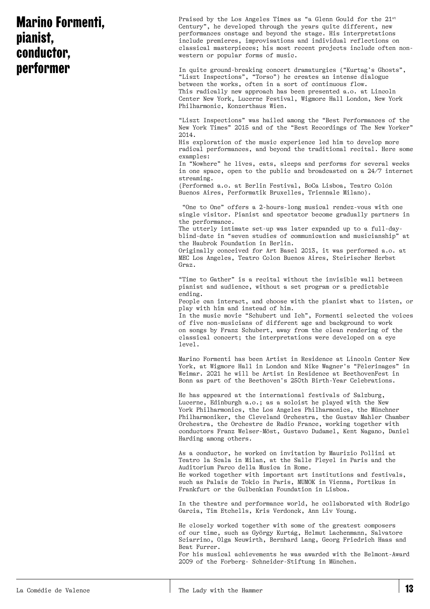# **Marino Formenti, pianist, conductor, performer**

Praised by the Los Angeles Times as "a Glenn Gould for the 21st Century", he developed through the years quite different, new performances onstage and beyond the stage. His interpretations include premieres, improvisations and individual reflections on classical masterpieces; his most recent projects include often nonwestern or popular forms of music.

In quite ground-breaking concert dramaturgies ("Kurtag's Ghosts", "Liszt Inspections", "Torso") he creates an intense dialogue between the works, often in a sort of continuous flow. This radically new approach has been presented a.o. at Lincoln Center New York, Lucerne Festival, Wigmore Hall London, New York Philharmonic, Konzerthaus Wien.

"Liszt Inspections" was hailed among the "Best Performances of the New York Times" 2015 and of the "Best Recordings of The New Yorker" 2014.

His exploration of the music experience led him to develop more radical performances, and beyond the traditional recital. Here some examples:

In "Nowhere" he lives, eats, sleeps and performs for several weeks in one space, open to the public and broadcasted on a 24/7 internet streaming.

(Performed a.o. at Berlin Festival, BoCa Lisboa, Teatro Colón Buenos Aires, Performatik Bruxelles, Triennale Milano).

 "One to One" offers a 2-hours-long musical rendez-vous with one single visitor. Pianist and spectator become gradually partners in the performance.

The utterly intimate set-up was later expanded up to a full-dayblind-date in "seven studies of communication and musicianship" at the Haubrok Foundation in Berlin.

Originally conceived for Art Basel 2013, it was performed a.o. at MEC Los Angeles, Teatro Colon Buenos Aires, Steirischer Herbst Graz.

"Time to Gather" is a recital without the invisible wall between pianist and audience, without a set program or a predictable ending.

People can interact, and choose with the pianist what to listen, or play with him and instead of him.

In the music movie "Schubert und Ich", Formenti selected the voices of five non-musicians of different age and background to work on songs by Franz Schubert, away from the clean rendering of the classical concert; the interpretations were developed on a eye level.

Marino Formenti has been Artist in Residence at Lincoln Center New York, at Wigmore Hall in London and Nike Wagner's "Pèlerinages" in Weimar. 2021 he will be Artist in Residence at BeethovenFest in Bonn as part of the Beethoven's 250th Birth-Year Celebrations.

He has appeared at the international festivals of Salzburg, Lucerne, Edinburgh a.o.; as a soloist he played with the New York Philharmonics, the Los Angeles Philharmonics, the Münchner Philharmoniker, the Cleveland Orchestra, the Gustav Mahler Chamber Orchestra, the Orchestre de Radio France, working together with conductors Franz Welser-Möst, Gustavo Dudamel, Kent Nagano, Daniel Harding among others.

As a conductor, he worked on invitation by Maurizio Pollini at Teatro la Scala in Milan, at the Salle Pleyel in Paris and the Auditorium Parco della Musica in Rome. He worked together with important art institutions and festivals, such as Palais de Tokio in Paris, MUMOK in Vienna, Portikus in Frankfurt or the Gulbenkian Foundation in Lisboa.

In the theatre and performance world, he collaborated with Rodrigo Garcia, Tim Etchells, Kris Verdonck, Ann Liv Young.

He closely worked together with some of the greatest composers of our time, such as György Kurtág, Helmut Lachenmann, Salvatore Sciarrino, Olga Neuwirth, Bernhard Lang, Georg Friedrich Haas and Beat Furrer.

For his musical achievements he was awarded with the Belmont-Award 2009 of the Forberg- Schneider-Stiftung in München.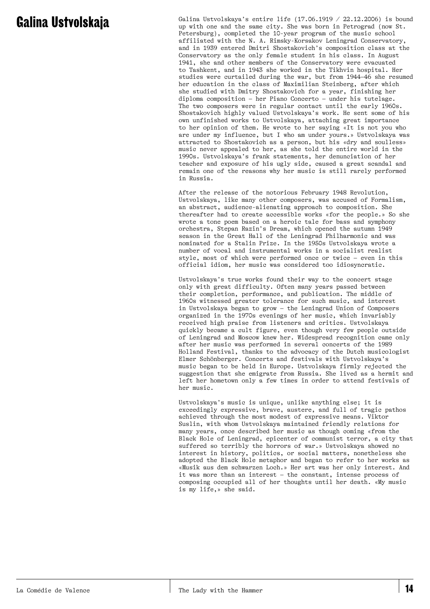# **Galina Ustvolskaja**

Galina Ustvolskaya's entire life (17.06.1919 / 22.12.2006) is bound up with one and the same city. She was born in Petrograd (now St. Petersburg), completed the 10-year program of the music school affiliated with the N. A. Rimsky-Korsakov Leningrad Conservatory, and in 1939 entered Dmitri Shostakovich's composition class at the Conservatory as the only female student in his class. In August 1941, she and other members of the Conservatory were evacuated to Tashkent, and in 1943 she worked in the Tikhvin hospital. Her studies were curtailed during the war, but from 1944–46 she resumed her education in the class of Maximilian Steinberg, after which she studied with Dmitry Shostakovich for a year, finishing her diploma composition – her Piano Concerto – under his tutelage. The two composers were in regular contact until the early 1960s. Shostakovich highly valued Ustvolskaya's work. He sent some of his own unfinished works to Ustvolskaya, attaching great importance to her opinion of them. He wrote to her saying «It is not you who are under my influence, but I who am under yours.» Ustvolskaya was attracted to Shostakovich as a person, but his «dry and soulless» music never appealed to her, as she told the entire world in the 1990s. Ustvolskaya's frank statements, her denunciation of her teacher and exposure of his ugly side, caused a great scandal and remain one of the reasons why her music is still rarely performed in Russia.

After the release of the notorious February 1948 Revolution, Ustvolskaya, like many other composers, was accused of Formalism, an abstract, audience-alienating approach to composition. She thereafter had to create accessible works «for the people.» So she wrote a tone poem based on a heroic tale for bass and symphony orchestra, Stepan Razin's Dream, which opened the autumn 1949 season in the Great Hall of the Leningrad Philharmonic and was nominated for a Stalin Prize. In the 1950s Ustvolskaya wrote a number of vocal and instrumental works in a socialist realist style, most of which were performed once or twice – even in this official idiom, her music was considered too idiosyncratic.

Ustvolskaya's true works found their way to the concert stage only with great difficulty. Often many years passed between their completion, performance, and publication. The middle of 1960s witnessed greater tolerance for such music, and interest in Ustvolskaya began to grow – the Leningrad Union of Composers organized in the 1970s evenings of her music, which invariably received high praise from listeners and critics. Ustvolskaya quickly became a cult figure, even though very few people outside of Leningrad and Moscow knew her. Widespread recognition came only after her music was performed in several concerts of the 1989 Holland Festival, thanks to the advocacy of the Dutch musicologist Elmer Schönberger. Concerts and festivals with Ustvolskaya's music began to be held in Europe. Ustvolskaya firmly rejected the suggestion that she emigrate from Russia. She lived as a hermit and left her hometown only a few times in order to attend festivals of her music.

Ustvolskaya's music is unique, unlike anything else; it is exceedingly expressive, brave, austere, and full of tragic pathos achieved through the most modest of expressive means. Viktor Suslin, with whom Ustvolskaya maintained friendly relations for many years, once described her music as though coming «from the Black Hole of Leningrad, epicenter of communist terror, a city that suffered so terribly the horrors of war.» Ustvolskaya showed no interest in history, politics, or social matters, nonetheless she adopted the Black Hole metaphor and began to refer to her works as «Musik aus dem schwarzen Loch.» Her art was her only interest. And it was more than an interest – the constant, intense process of composing occupied all of her thoughts until her death. «My music is my life,» she said.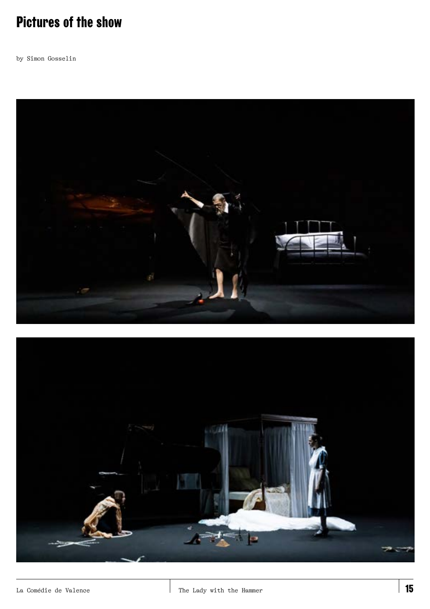# **Pictures of the show**

by Simon Gosselin



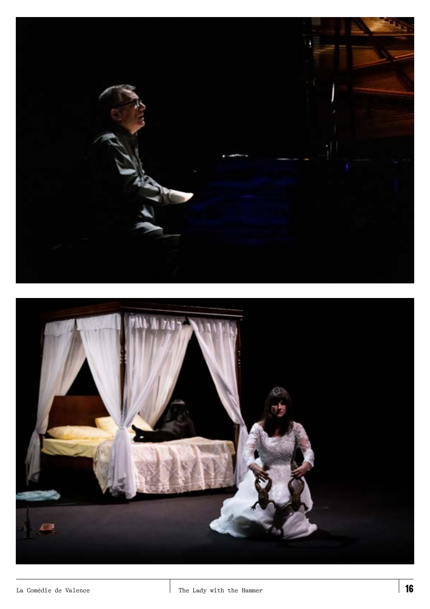

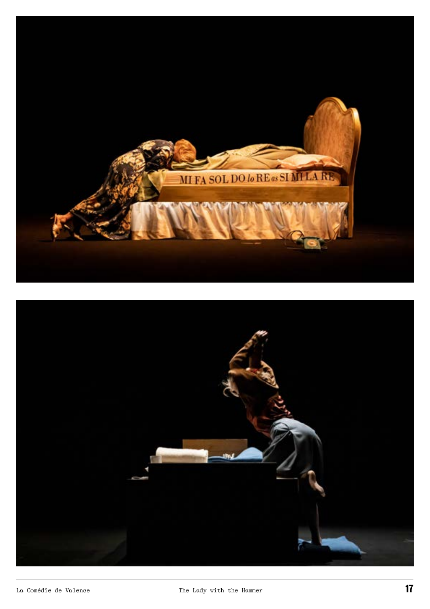